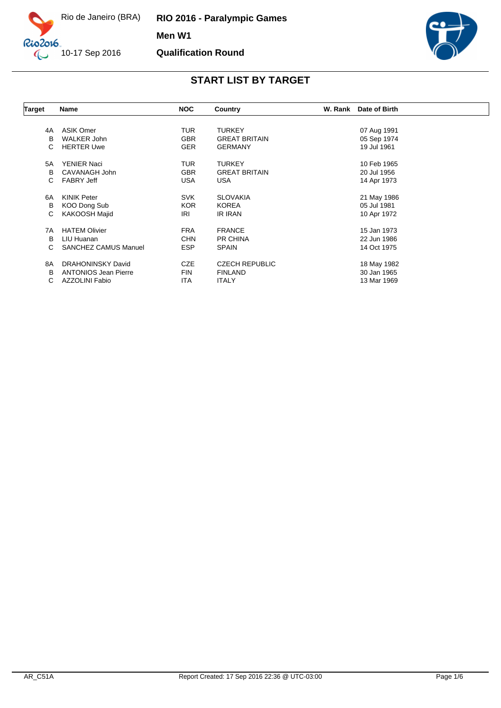

**RIO 2016 - Paralympic Games Men W1 Qualification Round**



| <b>Target</b> | <b>Name</b>                 | <b>NOC</b> | Country               | W. Rank | Date of Birth |  |
|---------------|-----------------------------|------------|-----------------------|---------|---------------|--|
|               |                             |            |                       |         |               |  |
| 4A            | <b>ASIK Omer</b>            | <b>TUR</b> | <b>TURKEY</b>         |         | 07 Aug 1991   |  |
| B             | <b>WALKER John</b>          | <b>GBR</b> | <b>GREAT BRITAIN</b>  |         | 05 Sep 1974   |  |
| C             | <b>HERTER Uwe</b>           | <b>GER</b> | <b>GERMANY</b>        |         | 19 Jul 1961   |  |
| 5A            | <b>YENIER Naci</b>          | <b>TUR</b> | <b>TURKEY</b>         |         | 10 Feb 1965   |  |
| в             | CAVANAGH John               | <b>GBR</b> | <b>GREAT BRITAIN</b>  |         | 20 Jul 1956   |  |
| С             | <b>FABRY Jeff</b>           | <b>USA</b> | <b>USA</b>            |         | 14 Apr 1973   |  |
| 6A            | <b>KINIK Peter</b>          | <b>SVK</b> | <b>SLOVAKIA</b>       |         | 21 May 1986   |  |
| В             | KOO Dong Sub                | <b>KOR</b> | <b>KOREA</b>          |         | 05 Jul 1981   |  |
| С             | KAKOOSH Majid               | IRI        | IR IRAN               |         | 10 Apr 1972   |  |
| 7A            | <b>HATEM Olivier</b>        | <b>FRA</b> | <b>FRANCE</b>         |         | 15 Jan 1973   |  |
| B             | LIU Huanan                  | <b>CHN</b> | <b>PR CHINA</b>       |         | 22 Jun 1986   |  |
| С             | <b>SANCHEZ CAMUS Manuel</b> | <b>ESP</b> | <b>SPAIN</b>          |         | 14 Oct 1975   |  |
| 8A            | <b>DRAHONINSKY David</b>    | <b>CZE</b> | <b>CZECH REPUBLIC</b> |         | 18 May 1982   |  |
| B             | <b>ANTONIOS Jean Pierre</b> | <b>FIN</b> | <b>FINLAND</b>        |         | 30 Jan 1965   |  |
| С             | AZZOLINI Fabio              | ITA        | <b>ITALY</b>          |         | 13 Mar 1969   |  |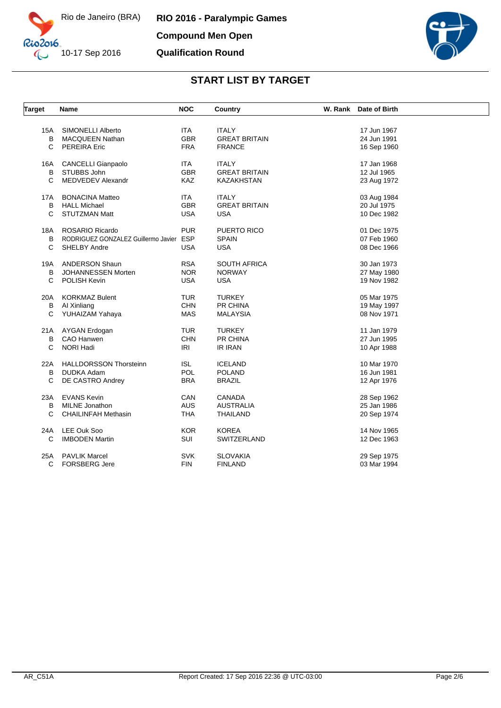



| <b>Target</b> | Name                                    | <b>NOC</b> | Country              | W. Rank Date of Birth |
|---------------|-----------------------------------------|------------|----------------------|-----------------------|
|               |                                         |            |                      |                       |
| 15A           | SIMONELLI Alberto                       | <b>ITA</b> | <b>ITALY</b>         | 17 Jun 1967           |
| B             | <b>MACQUEEN Nathan</b>                  | <b>GBR</b> | <b>GREAT BRITAIN</b> | 24 Jun 1991           |
| C             | <b>PEREIRA Eric</b>                     | <b>FRA</b> | <b>FRANCE</b>        | 16 Sep 1960           |
| 16A           | <b>CANCELLI Gianpaolo</b>               | <b>ITA</b> | <b>ITALY</b>         | 17 Jan 1968           |
| B             | STUBBS John                             | <b>GBR</b> | <b>GREAT BRITAIN</b> | 12 Jul 1965           |
| C             | <b>MEDVEDEV Alexandr</b>                | <b>KAZ</b> | <b>KAZAKHSTAN</b>    | 23 Aug 1972           |
| 17A           | <b>BONACINA Matteo</b>                  | <b>ITA</b> | <b>ITALY</b>         | 03 Aug 1984           |
| B             | <b>HALL Michael</b>                     | <b>GBR</b> | <b>GREAT BRITAIN</b> | 20 Jul 1975           |
| C             | <b>STUTZMAN Matt</b>                    | <b>USA</b> | <b>USA</b>           | 10 Dec 1982           |
| 18A           | ROSARIO Ricardo                         | <b>PUR</b> | PUERTO RICO          | 01 Dec 1975           |
| В             | RODRIGUEZ GONZALEZ Guillermo Javier ESP |            | <b>SPAIN</b>         | 07 Feb 1960           |
| C             | SHELBY Andre                            | <b>USA</b> | <b>USA</b>           | 08 Dec 1966           |
|               |                                         |            |                      |                       |
| 19A           | <b>ANDERSON Shaun</b>                   | <b>RSA</b> | <b>SOUTH AFRICA</b>  | 30 Jan 1973           |
| B             | JOHANNESSEN Morten                      | <b>NOR</b> | <b>NORWAY</b>        | 27 May 1980           |
| C             | POLISH Kevin                            | <b>USA</b> | <b>USA</b>           | 19 Nov 1982           |
| 20A           | <b>KORKMAZ Bulent</b>                   | <b>TUR</b> | <b>TURKEY</b>        | 05 Mar 1975           |
| В             | Al Xinliang                             | <b>CHN</b> | PR CHINA             | 19 May 1997           |
| C             | YUHAIZAM Yahaya                         | <b>MAS</b> | <b>MALAYSIA</b>      | 08 Nov 1971           |
|               |                                         |            |                      |                       |
| 21A           | AYGAN Erdogan                           | <b>TUR</b> | <b>TURKEY</b>        | 11 Jan 1979           |
| В             | CAO Hanwen                              | <b>CHN</b> | PR CHINA             | 27 Jun 1995           |
| C             | NORI Hadi                               | <b>IRI</b> | <b>IR IRAN</b>       | 10 Apr 1988           |
| 22A           | <b>HALLDORSSON Thorsteinn</b>           | <b>ISL</b> | <b>ICELAND</b>       | 10 Mar 1970           |
| В             | <b>DUDKA Adam</b>                       | POL        | <b>POLAND</b>        | 16 Jun 1981           |
| C             | DE CASTRO Andrey                        | <b>BRA</b> | <b>BRAZIL</b>        | 12 Apr 1976           |
| 23A           | <b>EVANS Kevin</b>                      | CAN        | <b>CANADA</b>        | 28 Sep 1962           |
| B             | <b>MILNE</b> Jonathon                   | <b>AUS</b> | <b>AUSTRALIA</b>     | 25 Jan 1986           |
| C             | <b>CHAILINFAH Methasin</b>              | <b>THA</b> | <b>THAILAND</b>      | 20 Sep 1974           |
|               |                                         |            |                      |                       |
| 24A           | LEE Ouk Soo                             | <b>KOR</b> | <b>KOREA</b>         | 14 Nov 1965           |
| C             | <b>IMBODEN Martin</b>                   | SUI        | SWITZERLAND          | 12 Dec 1963           |
| 25A           | <b>PAVLIK Marcel</b>                    | <b>SVK</b> | <b>SLOVAKIA</b>      | 29 Sep 1975           |
| C             | <b>FORSBERG Jere</b>                    | <b>FIN</b> | <b>FINLAND</b>       | 03 Mar 1994           |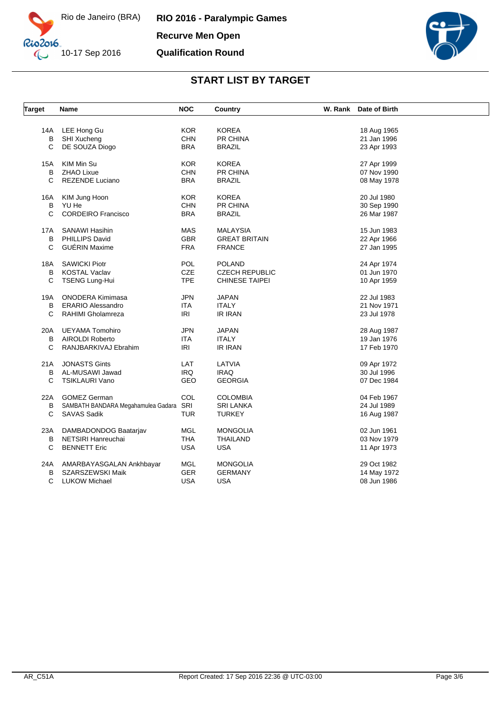

**RIO 2016 - Paralympic Games Recurve Men Open Qualification Round**



| <b>Target</b> | Name                               | <b>NOC</b> | Country               | W. Rank<br>Date of Birth |
|---------------|------------------------------------|------------|-----------------------|--------------------------|
|               |                                    |            |                       |                          |
| 14A           | LEE Hong Gu                        | <b>KOR</b> | <b>KOREA</b>          | 18 Aug 1965              |
| B             | SHI Xucheng                        | <b>CHN</b> | PR CHINA              | 21 Jan 1996              |
| C             | DE SOUZA Diogo                     | <b>BRA</b> | <b>BRAZIL</b>         | 23 Apr 1993              |
| 15A           | KIM Min Su                         | <b>KOR</b> | <b>KOREA</b>          | 27 Apr 1999              |
| B             | <b>ZHAO Lixue</b>                  | <b>CHN</b> | PR CHINA              | 07 Nov 1990              |
| C             | <b>REZENDE Luciano</b>             | <b>BRA</b> | <b>BRAZIL</b>         | 08 May 1978              |
| 16A           | KIM Jung Hoon                      | <b>KOR</b> | <b>KOREA</b>          | 20 Jul 1980              |
| B             | YU He                              | <b>CHN</b> | PR CHINA              | 30 Sep 1990              |
| C             | CORDEIRO Francisco                 | <b>BRA</b> | <b>BRAZIL</b>         | 26 Mar 1987              |
| 17A           | <b>SANAWI Hasihin</b>              | <b>MAS</b> | <b>MALAYSIA</b>       | 15 Jun 1983              |
| В             | PHILLIPS David                     | <b>GBR</b> | <b>GREAT BRITAIN</b>  | 22 Apr 1966              |
| C             | <b>GUÉRIN Maxime</b>               | <b>FRA</b> | <b>FRANCE</b>         | 27 Jan 1995              |
| 18A           | <b>SAWICKI Piotr</b>               | POL        | <b>POLAND</b>         | 24 Apr 1974              |
| B             | <b>KOSTAL Vaclav</b>               | CZE        | <b>CZECH REPUBLIC</b> | 01 Jun 1970              |
| C             | <b>TSENG Lung-Hui</b>              | <b>TPE</b> | <b>CHINESE TAIPEI</b> | 10 Apr 1959              |
| 19A           | <b>ONODERA Kimimasa</b>            | <b>JPN</b> | <b>JAPAN</b>          | 22 Jul 1983              |
| B             | <b>ERARIO Alessandro</b>           | <b>ITA</b> | <b>ITALY</b>          | 21 Nov 1971              |
| C             | RAHIMI Gholamreza                  | IRI        | <b>IR IRAN</b>        | 23 Jul 1978              |
| 20A           | UEYAMA Tomohiro                    | <b>JPN</b> | JAPAN                 | 28 Aug 1987              |
| B             | AIROLDI Roberto                    | <b>ITA</b> | <b>ITALY</b>          | 19 Jan 1976              |
| C             | RANJBARKIVAJ Ebrahim               | <b>IRI</b> | IR IRAN               | 17 Feb 1970              |
| 21A           | <b>JONASTS Gints</b>               | LAT        | LATVIA                | 09 Apr 1972              |
| B             | AL-MUSAWI Jawad                    | <b>IRQ</b> | <b>IRAQ</b>           | 30 Jul 1996              |
| C             | <b>TSIKLAURI Vano</b>              | <b>GEO</b> | <b>GEORGIA</b>        | 07 Dec 1984              |
| 22A           | <b>GOMEZ German</b>                | COL        | <b>COLOMBIA</b>       | 04 Feb 1967              |
| в             | SAMBATH BANDARA Megahamulea Gadara | SRI        | <b>SRI LANKA</b>      | 24 Jul 1989              |
| C             | <b>SAVAS Sadik</b>                 | <b>TUR</b> | <b>TURKEY</b>         | 16 Aug 1987              |
| 23A           | DAMBADONDOG Baatarjav              | <b>MGL</b> | <b>MONGOLIA</b>       | 02 Jun 1961              |
| B             | NETSIRI Hanreuchai                 | <b>THA</b> | <b>THAILAND</b>       | 03 Nov 1979              |
| C             | <b>BENNETT Eric</b>                | <b>USA</b> | <b>USA</b>            | 11 Apr 1973              |
| 24A           | AMARBAYASGALAN Ankhbayar           | <b>MGL</b> | <b>MONGOLIA</b>       | 29 Oct 1982              |
| В             | SZARSZEWSKI Maik                   | <b>GER</b> | <b>GERMANY</b>        | 14 May 1972              |
| C             | <b>LUKOW Michael</b>               | <b>USA</b> | USA                   | 08 Jun 1986              |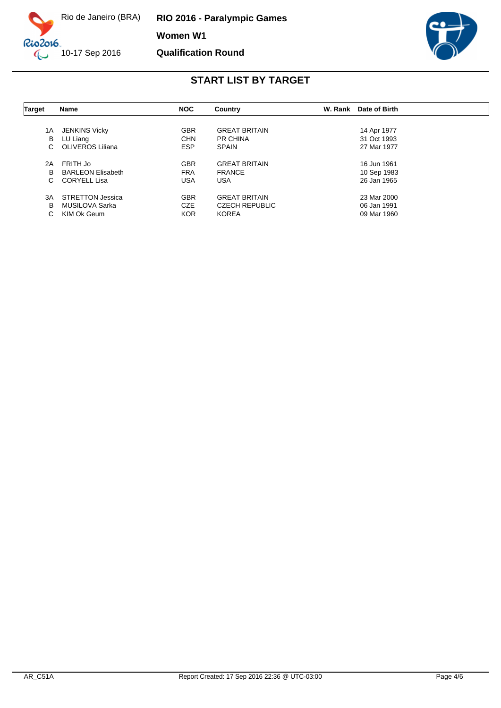

**RIO 2016 - Paralympic Games Women W1 Qualification Round**



| <b>Target</b> | Name                     | <b>NOC</b> | Country               | W. Rank | Date of Birth |  |
|---------------|--------------------------|------------|-----------------------|---------|---------------|--|
|               |                          |            |                       |         |               |  |
| 1A            | <b>JENKINS Vicky</b>     | <b>GBR</b> | <b>GREAT BRITAIN</b>  |         | 14 Apr 1977   |  |
| В             | LU Liang                 | <b>CHN</b> | <b>PR CHINA</b>       |         | 31 Oct 1993   |  |
| С             | OLIVEROS Liliana         | <b>ESP</b> | <b>SPAIN</b>          |         | 27 Mar 1977   |  |
| 2A            | FRITH Jo                 | <b>GBR</b> | <b>GREAT BRITAIN</b>  |         | 16 Jun 1961   |  |
| в             | <b>BARLEON Elisabeth</b> | <b>FRA</b> | <b>FRANCE</b>         |         | 10 Sep 1983   |  |
| С             | CORYELL Lisa             | USA        | <b>USA</b>            |         | 26 Jan 1965   |  |
| 3A            | STRETTON Jessica         | <b>GBR</b> | <b>GREAT BRITAIN</b>  |         | 23 Mar 2000   |  |
| в             | MUSILOVA Sarka           | <b>CZE</b> | <b>CZECH REPUBLIC</b> |         | 06 Jan 1991   |  |
| С             | KIM Ok Geum              | <b>KOR</b> | <b>KOREA</b>          |         | 09 Mar 1960   |  |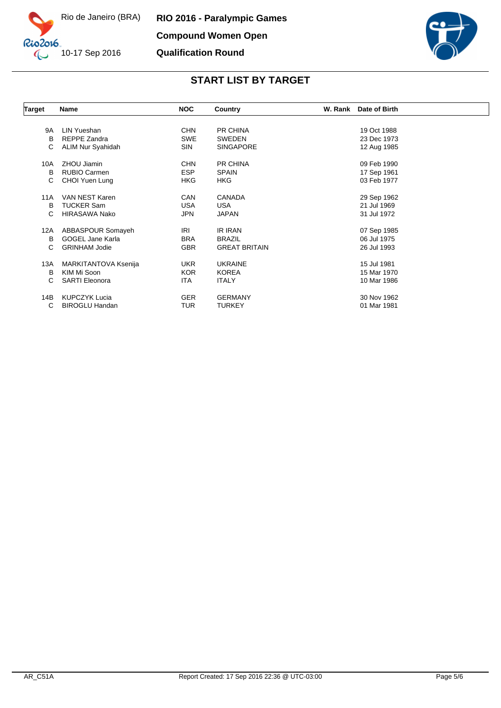



| <b>Target</b> | Name                    | <b>NOC</b> | Country              | W. Rank Date of Birth |
|---------------|-------------------------|------------|----------------------|-----------------------|
|               |                         |            |                      |                       |
| <b>9A</b>     | LIN Yueshan             | <b>CHN</b> | <b>PR CHINA</b>      | 19 Oct 1988           |
| B             | REPPE Zandra            | <b>SWE</b> | <b>SWEDEN</b>        | 23 Dec 1973           |
| С             | ALIM Nur Syahidah       | <b>SIN</b> | <b>SINGAPORE</b>     | 12 Aug 1985           |
| 10A           | ZHOU Jiamin             | <b>CHN</b> | PR CHINA             | 09 Feb 1990           |
| B             | RUBIO Carmen            | <b>ESP</b> | <b>SPAIN</b>         | 17 Sep 1961           |
| С             | CHOI Yuen Lung          | <b>HKG</b> | <b>HKG</b>           | 03 Feb 1977           |
| 11A           | VAN NEST Karen          | CAN        | <b>CANADA</b>        | 29 Sep 1962           |
| B             | <b>TUCKER Sam</b>       | <b>USA</b> | USA                  | 21 Jul 1969           |
| C             | <b>HIRASAWA Nako</b>    | <b>JPN</b> | <b>JAPAN</b>         | 31 Jul 1972           |
| 12A           | ABBASPOUR Somayeh       | IRI        | IR IRAN              | 07 Sep 1985           |
| B             | <b>GOGEL Jane Karla</b> | BRA        | <b>BRAZIL</b>        | 06 Jul 1975           |
| C             | <b>GRINHAM Jodie</b>    | <b>GBR</b> | <b>GREAT BRITAIN</b> | 26 Jul 1993           |
| 13A           | MARKITANTOVA Ksenija    | <b>UKR</b> | <b>UKRAINE</b>       | 15 Jul 1981           |
| B             | KIM Mi Soon             | <b>KOR</b> | <b>KOREA</b>         | 15 Mar 1970           |
| C             | <b>SARTI Eleonora</b>   | <b>ITA</b> | <b>ITALY</b>         | 10 Mar 1986           |
| 14B           | <b>KUPCZYK Lucia</b>    | <b>GER</b> | <b>GERMANY</b>       | 30 Nov 1962           |
| C             | <b>BIROGLU Handan</b>   | TUR        | <b>TURKEY</b>        | 01 Mar 1981           |